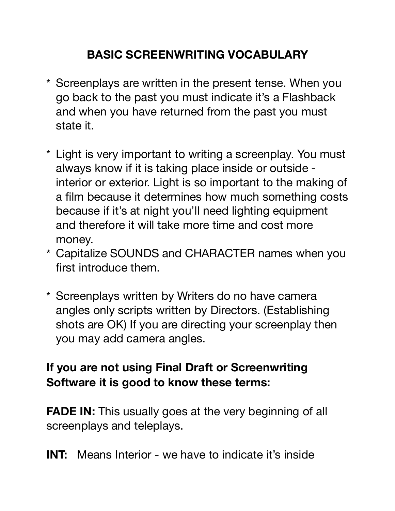## **BASIC SCREENWRITING VOCABULARY**

- \* Screenplays are written in the present tense. When you go back to the past you must indicate it's a Flashback and when you have returned from the past you must state it.
- \* Light is very important to writing a screenplay. You must always know if it is taking place inside or outside interior or exterior. Light is so important to the making of a film because it determines how much something costs because if it's at night you'll need lighting equipment and therefore it will take more time and cost more money.
- \* Capitalize SOUNDS and CHARACTER names when you first introduce them.
- \* Screenplays written by Writers do no have camera angles only scripts written by Directors. (Establishing shots are OK) If you are directing your screenplay then you may add camera angles.

## **If you are not using Final Draft or Screenwriting Software it is good to know these terms:**

**FADE IN:** This usually goes at the very beginning of all screenplays and teleplays.

**INT:** Means Interior - we have to indicate it's inside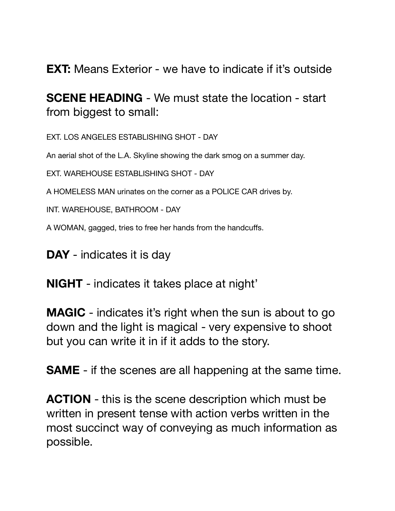**EXT:** Means Exterior - we have to indicate if it's outside

**SCENE HEADING** - We must state the location - start from biggest to small:

EXT. LOS ANGELES ESTABLISHING SHOT - DAY

An aerial shot of the L.A. Skyline showing the dark smog on a summer day.

EXT. WAREHOUSE ESTABLISHING SHOT - DAY

A HOMELESS MAN urinates on the corner as a POLICE CAR drives by.

INT. WAREHOUSE, BATHROOM - DAY

A WOMAN, gagged, tries to free her hands from the handcuffs.

**DAY** - indicates it is day

**NIGHT** - indicates it takes place at night'

**MAGIC** - indicates it's right when the sun is about to go down and the light is magical - very expensive to shoot but you can write it in if it adds to the story.

**SAME** - if the scenes are all happening at the same time.

**ACTION** - this is the scene description which must be written in present tense with action verbs written in the most succinct way of conveying as much information as possible.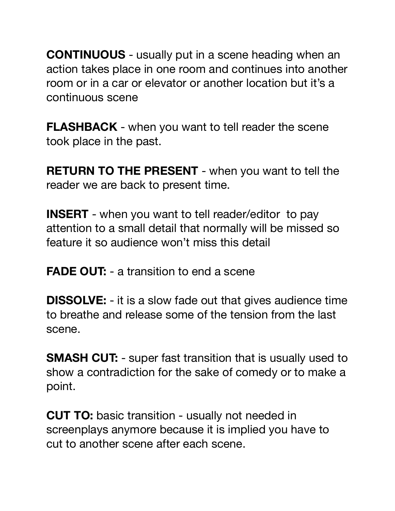**CONTINUOUS** - usually put in a scene heading when an action takes place in one room and continues into another room or in a car or elevator or another location but it's a continuous scene

**FLASHBACK** - when you want to tell reader the scene took place in the past.

**RETURN TO THE PRESENT** - when you want to tell the reader we are back to present time.

**INSERT** - when you want to tell reader/editor to pay attention to a small detail that normally will be missed so feature it so audience won't miss this detail

**FADE OUT:** - a transition to end a scene

**DISSOLVE:** - it is a slow fade out that gives audience time to breathe and release some of the tension from the last scene.

**SMASH CUT:** - super fast transition that is usually used to show a contradiction for the sake of comedy or to make a point.

**CUT TO:** basic transition - usually not needed in screenplays anymore because it is implied you have to cut to another scene after each scene.